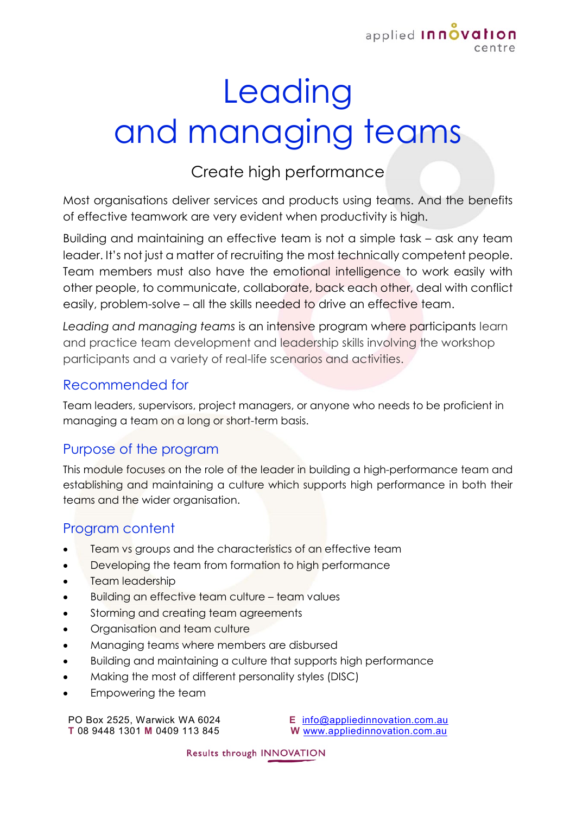

# **Leading** and managing teams

## Create high performance

Most organisations deliver services and products using teams. And the benefits of effective teamwork are very evident when productivity is high.

Building and maintaining an effective team is not a simple task – ask any team leader. It's not just a matter of recruiting the most technically competent people. Team members must also have the emotional intelligence to work easily with other people, to communicate, collaborate, back each other, deal with conflict easily, problem-solve – all the skills needed to drive an effective team.

*Leading and managing teams* is an intensive program where participants learn and practice team development and leadership skills involving the workshop participants and a variety of real-life scenarios and activities.

#### Recommended for

Team leaders, supervisors, project managers, or anyone who needs to be proficient in managing a team on a long or short-term basis.

#### Purpose of the program

This module focuses on the role of the leader in building a high-performance team and establishing and maintaining a culture which supports high performance in both their teams and the wider organisation.

#### Program content

- Team vs groups and the characteristics of an effective team
- Developing the team from formation to high performance
- Team leadership
- Building an effective team culture team values
- Storming and creating team agreements
- Organisation and team culture
- Managing teams where members are disbursed
- Building and maintaining a culture that supports high performance
- Making the most of different personality styles (DISC)
- Empowering the team

PO Box 2525, Warwick WA 6024 **T** 08 9448 1301 **M** 0409 113 845 **E** [info@appliedinnovation.com.au](mailto:info@appliedinnovation.com.au) **W** [www.appliedinnovation.com.au](http://www.appliedinnovation.com.au/)

Results through INNOVATION